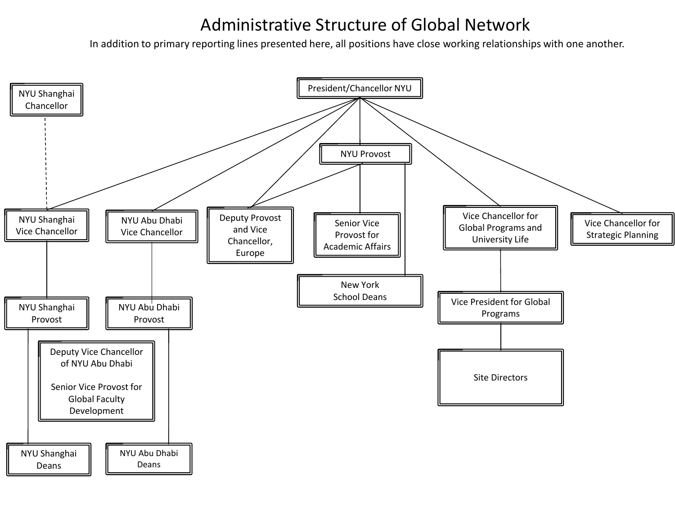## Administrative Structure of Global Network

In addition to primary reporting lines presented here, all positions have close working relationships with one another.

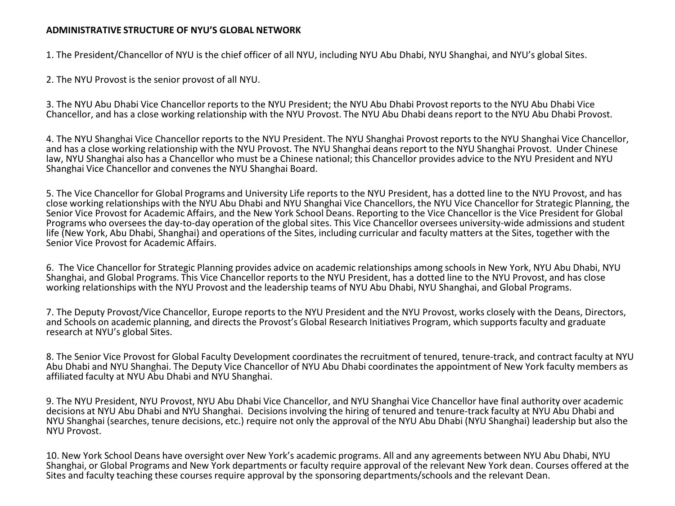## **ADMINISTRATIVE STRUCTURE OF NYU'S GLOBAL NETWORK**

1. The President/Chancellor of NYU is the chief officer of all NYU, including NYU Abu Dhabi, NYU Shanghai, and NYU's global Sites.

2. The NYU Provost is the senior provost of all NYU.

3. The NYU Abu Dhabi Vice Chancellor reports to the NYU President; the NYU Abu Dhabi Provost reports to the NYU Abu Dhabi Vice Chancellor, and has a close working relationship with the NYU Provost. The NYU Abu Dhabi deans report to the NYU Abu Dhabi Provost.

4. The NYU Shanghai Vice Chancellor reports to the NYU President. The NYU Shanghai Provost reports to the NYU Shanghai Vice Chancellor, and has a close working relationship with the NYU Provost. The NYU Shanghai deans report to the NYU Shanghai Provost. Under Chinese law, NYU Shanghai also has a Chancellor who must be a Chinese national; this Chancellor provides advice to the NYU President and NYU Shanghai Vice Chancellor and convenes the NYU Shanghai Board.

5. The Vice Chancellor for Global Programs and University Life reports to the NYU President, has a dotted line to the NYU Provost, and has close working relationships with the NYU Abu Dhabi and NYU Shanghai Vice Chancellors, the NYU Vice Chancellor for Strategic Planning, the Senior Vice Provost for Academic Affairs, and the New York School Deans. Reporting to the Vice Chancellor is the Vice President for Global Programs who oversees the day-to-day operation of the global sites. This Vice Chancellor oversees university-wide admissions and student life (New York, Abu Dhabi, Shanghai) and operations of the Sites, including curricular and faculty matters at the Sites, together with the Senior Vice Provost for Academic Affairs.

6. The Vice Chancellor for Strategic Planning provides advice on academic relationships among schools in New York, NYU Abu Dhabi, NYU Shanghai, and Global Programs. This Vice Chancellor reports to the NYU President, has a dotted line to the NYU Provost, and has close working relationships with the NYU Provost and the leadership teams of NYU Abu Dhabi, NYU Shanghai, and Global Programs.

7. The Deputy Provost/Vice Chancellor, Europe reports to the NYU President and the NYU Provost, works closely with the Deans, Directors, and Schools on academic planning, and directs the Provost's Global Research Initiatives Program, which supports faculty and graduate research at NYU's global Sites.

8. The Senior Vice Provost for Global Faculty Development coordinates the recruitment of tenured, tenure-track, and contract faculty at NYU Abu Dhabi and NYU Shanghai. The Deputy Vice Chancellor of NYU Abu Dhabi coordinates the appointment of New York faculty members as affiliated faculty at NYU Abu Dhabi and NYU Shanghai.

9. The NYU President, NYU Provost, NYU Abu Dhabi Vice Chancellor, and NYU Shanghai Vice Chancellor have final authority over academic decisions at NYU Abu Dhabi and NYU Shanghai. Decisions involving the hiring of tenured and tenure-track faculty at NYU Abu Dhabi and NYU Shanghai (searches, tenure decisions, etc.) require not only the approval of the NYU Abu Dhabi (NYU Shanghai) leadership but also the NYU Provost.

10. New York School Deans have oversight over New York's academic programs. All and any agreements between NYU Abu Dhabi, NYU Shanghai, or Global Programs and New York departments or faculty require approval of the relevant New York dean. Courses offered at the Sites and faculty teaching these courses require approval by the sponsoring departments/schools and the relevant Dean.